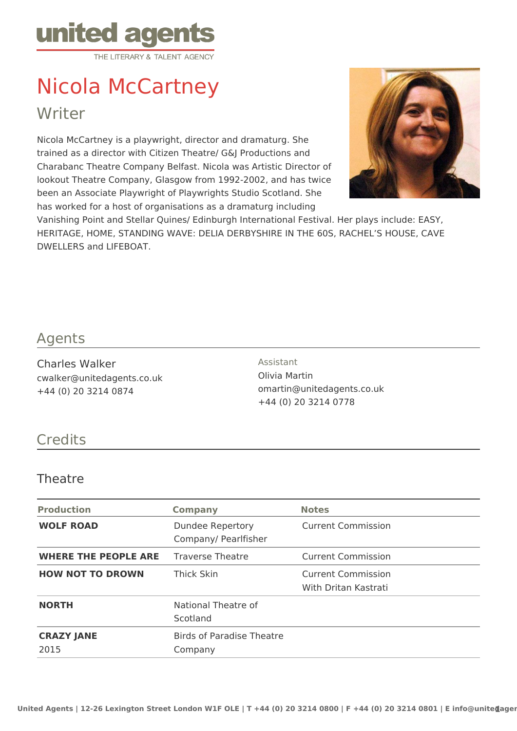

# Nicola McCartney

Writer

Nicola McCartney is a playwright, director and dramaturg. She trained as a director with Citizen Theatre/ G&J Productions and Charabanc Theatre Company Belfast. Nicola was Artistic Director of lookout Theatre Company, Glasgow from 1992-2002, and has twice been an Associate Playwright of Playwrights Studio Scotland. She has worked for a host of organisations as a dramaturg including



Vanishing Point and Stellar Quines/ Edinburgh International Festival. Her plays include: EASY, HERITAGE, HOME, STANDING WAVE: DELIA DERBYSHIRE IN THE 60S, RACHEL'S HOUSE, CAVE DWELLERS and LIFEBOAT.

## Agents

Charles Walker cwalker@unitedagents.co.uk +44 (0) 20 3214 0874

Assistant Olivia Martin omartin@unitedagents.co.uk +44 (0) 20 3214 0778

# **Credits**

## **Theatre**

| <b>Production</b>           | <b>Company</b>                              | <b>Notes</b>                                      |
|-----------------------------|---------------------------------------------|---------------------------------------------------|
| <b>WOLF ROAD</b>            | Dundee Repertory<br>Company/ Pearlfisher    | <b>Current Commission</b>                         |
| <b>WHERE THE PEOPLE ARE</b> | <b>Traverse Theatre</b>                     | <b>Current Commission</b>                         |
| <b>HOW NOT TO DROWN</b>     | Thick Skin                                  | <b>Current Commission</b><br>With Dritan Kastrati |
| <b>NORTH</b>                | National Theatre of<br>Scotland             |                                                   |
| <b>CRAZY JANE</b><br>2015   | <b>Birds of Paradise Theatre</b><br>Company |                                                   |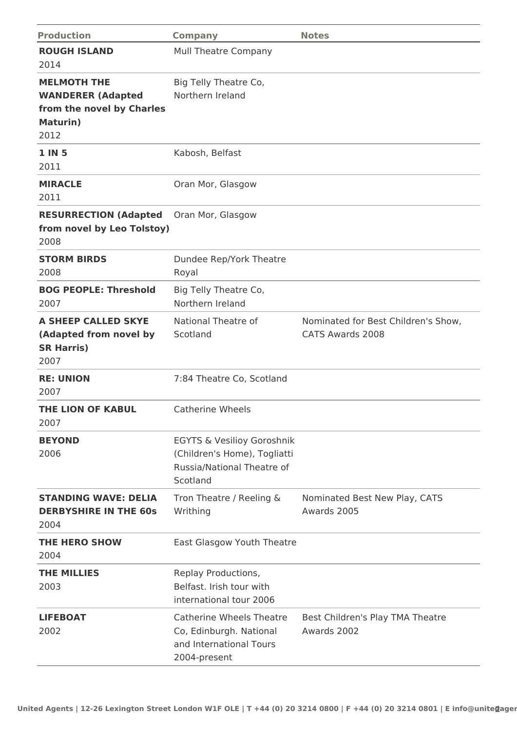| <b>Production</b>                                                                               | <b>Company</b>                                                                                                  | <b>Notes</b>                                            |
|-------------------------------------------------------------------------------------------------|-----------------------------------------------------------------------------------------------------------------|---------------------------------------------------------|
| <b>ROUGH ISLAND</b><br>2014                                                                     | <b>Mull Theatre Company</b>                                                                                     |                                                         |
| <b>MELMOTH THE</b><br><b>WANDERER (Adapted</b><br>from the novel by Charles<br>Maturin)<br>2012 | Big Telly Theatre Co,<br>Northern Ireland                                                                       |                                                         |
| <b>1 IN 5</b><br>2011                                                                           | Kabosh, Belfast                                                                                                 |                                                         |
| <b>MIRACLE</b><br>2011                                                                          | Oran Mor, Glasgow                                                                                               |                                                         |
| <b>RESURRECTION (Adapted</b><br>from novel by Leo Tolstoy)<br>2008                              | Oran Mor, Glasgow                                                                                               |                                                         |
| <b>STORM BIRDS</b><br>2008                                                                      | Dundee Rep/York Theatre<br>Royal                                                                                |                                                         |
| <b>BOG PEOPLE: Threshold</b><br>2007                                                            | Big Telly Theatre Co,<br>Northern Ireland                                                                       |                                                         |
| A SHEEP CALLED SKYE<br>(Adapted from novel by<br><b>SR Harris)</b><br>2007                      | National Theatre of<br>Scotland                                                                                 | Nominated for Best Children's Show,<br>CATS Awards 2008 |
| <b>RE: UNION</b><br>2007                                                                        | 7:84 Theatre Co, Scotland                                                                                       |                                                         |
| <b>THE LION OF KABUL</b><br>2007                                                                | Catherine Wheels                                                                                                |                                                         |
| <b>BEYOND</b><br>2006                                                                           | <b>EGYTS &amp; Vesilioy Goroshnik</b><br>(Children's Home), Togliatti<br>Russia/National Theatre of<br>Scotland |                                                         |
| <b>STANDING WAVE: DELIA</b><br><b>DERBYSHIRE IN THE 60s</b><br>2004                             | Tron Theatre / Reeling &<br>Writhing                                                                            | Nominated Best New Play, CATS<br>Awards 2005            |
| <b>THE HERO SHOW</b><br>2004                                                                    | East Glasgow Youth Theatre                                                                                      |                                                         |
| <b>THE MILLIES</b><br>2003                                                                      | Replay Productions,<br>Belfast, Irish tour with<br>international tour 2006                                      |                                                         |
| <b>LIFEBOAT</b><br>2002                                                                         | <b>Catherine Wheels Theatre</b><br>Co, Edinburgh. National<br>and International Tours<br>2004-present           | Best Children's Play TMA Theatre<br>Awards 2002         |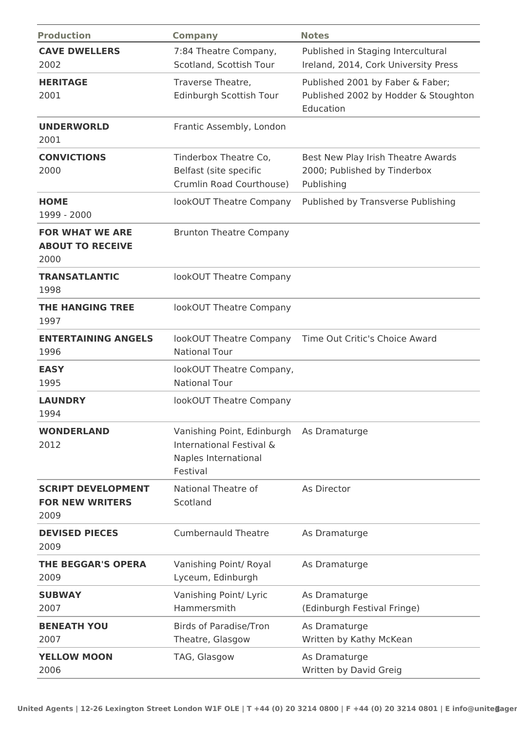| <b>Production</b>                                           | <b>Company</b>                                                                             | <b>Notes</b>                                                                          |
|-------------------------------------------------------------|--------------------------------------------------------------------------------------------|---------------------------------------------------------------------------------------|
| <b>CAVE DWELLERS</b><br>2002                                | 7:84 Theatre Company,<br>Scotland, Scottish Tour                                           | Published in Staging Intercultural<br>Ireland, 2014, Cork University Press            |
| <b>HERITAGE</b><br>2001                                     | Traverse Theatre,<br>Edinburgh Scottish Tour                                               | Published 2001 by Faber & Faber;<br>Published 2002 by Hodder & Stoughton<br>Education |
| <b>UNDERWORLD</b><br>2001                                   | Frantic Assembly, London                                                                   |                                                                                       |
| <b>CONVICTIONS</b><br>2000                                  | Tinderbox Theatre Co,<br>Belfast (site specific<br>Crumlin Road Courthouse)                | Best New Play Irish Theatre Awards<br>2000; Published by Tinderbox<br>Publishing      |
| <b>HOME</b><br>1999 - 2000                                  | lookOUT Theatre Company                                                                    | Published by Transverse Publishing                                                    |
| <b>FOR WHAT WE ARE</b><br><b>ABOUT TO RECEIVE</b><br>2000   | <b>Brunton Theatre Company</b>                                                             |                                                                                       |
| <b>TRANSATLANTIC</b><br>1998                                | lookOUT Theatre Company                                                                    |                                                                                       |
| <b>THE HANGING TREE</b><br>1997                             | lookOUT Theatre Company                                                                    |                                                                                       |
| <b>ENTERTAINING ANGELS</b><br>1996                          | lookOUT Theatre Company<br><b>National Tour</b>                                            | Time Out Critic's Choice Award                                                        |
| <b>EASY</b><br>1995                                         | lookOUT Theatre Company,<br><b>National Tour</b>                                           |                                                                                       |
| <b>LAUNDRY</b><br>1994                                      | lookOUT Theatre Company                                                                    |                                                                                       |
| <b>WONDERLAND</b><br>2012                                   | Vanishing Point, Edinburgh<br>International Festival &<br>Naples International<br>Festival | As Dramaturge                                                                         |
| <b>SCRIPT DEVELOPMENT</b><br><b>FOR NEW WRITERS</b><br>2009 | National Theatre of<br>Scotland                                                            | As Director                                                                           |
| <b>DEVISED PIECES</b><br>2009                               | <b>Cumbernauld Theatre</b>                                                                 | As Dramaturge                                                                         |
| <b>THE BEGGAR'S OPERA</b><br>2009                           | Vanishing Point/ Royal<br>Lyceum, Edinburgh                                                | As Dramaturge                                                                         |
| <b>SUBWAY</b><br>2007                                       | Vanishing Point/ Lyric<br>Hammersmith                                                      | As Dramaturge<br>(Edinburgh Festival Fringe)                                          |
| <b>BENEATH YOU</b><br>2007                                  | <b>Birds of Paradise/Tron</b><br>Theatre, Glasgow                                          | As Dramaturge<br>Written by Kathy McKean                                              |
| <b>YELLOW MOON</b><br>2006                                  | TAG, Glasgow                                                                               | As Dramaturge<br>Written by David Greig                                               |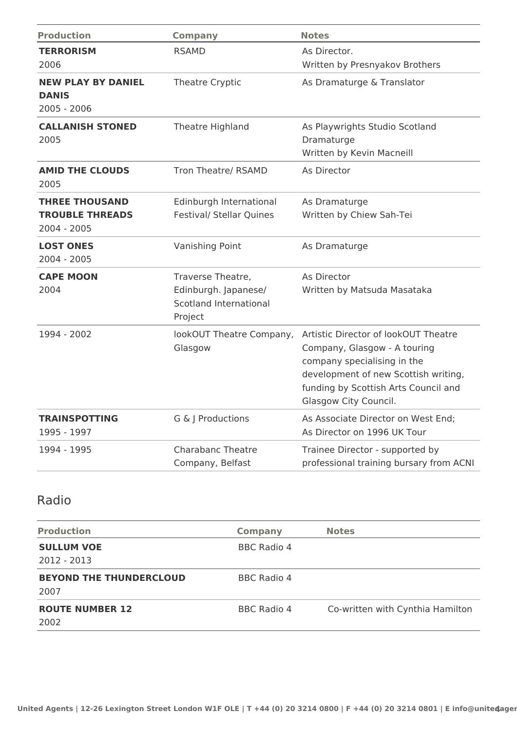| <b>Production</b>                                                | <b>Company</b>                                                                        | <b>Notes</b>                                                                                                                                                                                                 |
|------------------------------------------------------------------|---------------------------------------------------------------------------------------|--------------------------------------------------------------------------------------------------------------------------------------------------------------------------------------------------------------|
| <b>TERRORISM</b><br>2006                                         | <b>RSAMD</b>                                                                          | As Director.<br>Written by Presnyakov Brothers                                                                                                                                                               |
| <b>NEW PLAY BY DANIEL</b><br><b>DANIS</b><br>$2005 - 2006$       | Theatre Cryptic                                                                       | As Dramaturge & Translator                                                                                                                                                                                   |
| <b>CALLANISH STONED</b><br>2005                                  | Theatre Highland                                                                      | As Playwrights Studio Scotland<br>Dramaturge<br>Written by Kevin Macneill                                                                                                                                    |
| <b>AMID THE CLOUDS</b><br>2005                                   | Tron Theatre/ RSAMD                                                                   | As Director                                                                                                                                                                                                  |
| <b>THREE THOUSAND</b><br><b>TROUBLE THREADS</b><br>$2004 - 2005$ | Edinburgh International<br><b>Festival/ Stellar Quines</b>                            | As Dramaturge<br>Written by Chiew Sah-Tei                                                                                                                                                                    |
| <b>LOST ONES</b><br>2004 - 2005                                  | Vanishing Point                                                                       | As Dramaturge                                                                                                                                                                                                |
| <b>CAPE MOON</b><br>2004                                         | Traverse Theatre,<br>Edinburgh. Japanese/<br><b>Scotland International</b><br>Project | As Director<br>Written by Matsuda Masataka                                                                                                                                                                   |
| 1994 - 2002                                                      | lookOUT Theatre Company,<br>Glasgow                                                   | Artistic Director of lookOUT Theatre<br>Company, Glasgow - A touring<br>company specialising in the<br>development of new Scottish writing,<br>funding by Scottish Arts Council and<br>Glasgow City Council. |
| <b>TRAINSPOTTING</b><br>1995 - 1997                              | G & J Productions                                                                     | As Associate Director on West End;<br>As Director on 1996 UK Tour                                                                                                                                            |
| 1994 - 1995                                                      | <b>Charabanc Theatre</b><br>Company, Belfast                                          | Trainee Director - supported by<br>professional training bursary from ACNI                                                                                                                                   |

## Radio

| <b>Production</b>              | <b>Company</b>     | <b>Notes</b>                     |
|--------------------------------|--------------------|----------------------------------|
| <b>SULLUM VOE</b>              | <b>BBC Radio 4</b> |                                  |
| $2012 - 2013$                  |                    |                                  |
| <b>BEYOND THE THUNDERCLOUD</b> | BBC Radio 4        |                                  |
| 2007                           |                    |                                  |
| <b>ROUTE NUMBER 12</b>         | BBC Radio 4        | Co-written with Cynthia Hamilton |
| 2002                           |                    |                                  |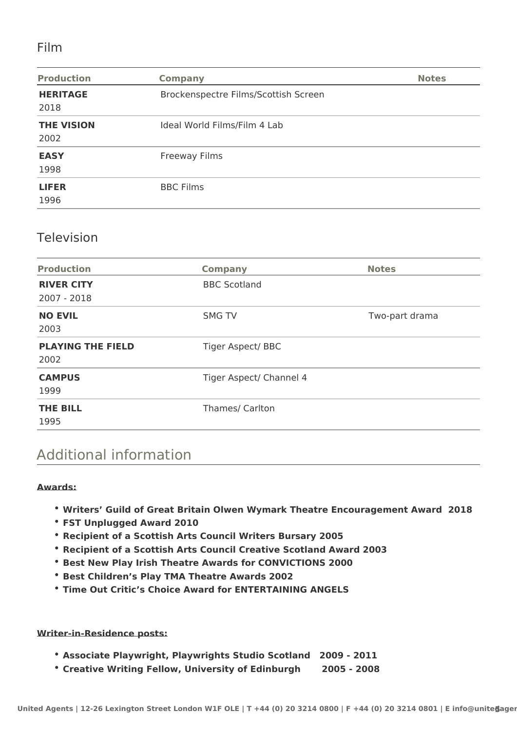## Film

| <b>Production</b>         | <b>Company</b>                       | <b>Notes</b> |
|---------------------------|--------------------------------------|--------------|
| <b>HERITAGE</b><br>2018   | Brockenspectre Films/Scottish Screen |              |
| <b>THE VISION</b><br>2002 | Ideal World Films/Film 4 Lab         |              |
| <b>EASY</b><br>1998       | <b>Freeway Films</b>                 |              |
| <b>LIFER</b><br>1996      | <b>BBC Films</b>                     |              |

### Television

| <b>Production</b>                | <b>Company</b>           | <b>Notes</b>   |
|----------------------------------|--------------------------|----------------|
| <b>RIVER CITY</b><br>2007 - 2018 | <b>BBC Scotland</b>      |                |
| <b>NO EVIL</b><br>2003           | <b>SMG TV</b>            | Two-part drama |
| <b>PLAYING THE FIELD</b><br>2002 | <b>Tiger Aspect/ BBC</b> |                |
| <b>CAMPUS</b><br>1999            | Tiger Aspect/ Channel 4  |                |
| <b>THE BILL</b><br>1995          | Thames/ Carlton          |                |

# Additional information

#### **Awards:**

- **Writers' Guild of Great Britain Olwen Wymark Theatre Encouragement Award 2018**
- **FST Unplugged Award 2010**
- **Recipient of a Scottish Arts Council Writers Bursary 2005**
- **Recipient of a Scottish Arts Council Creative Scotland Award 2003**
- **\* Best New Play Irish Theatre Awards for CONVICTIONS 2000**
- **Best Children's Play TMA Theatre Awards 2002**
- **Time Out Critic's Choice Award for ENTERTAINING ANGELS**

#### **Writer-in-Residence posts:**

- **Associate Playwright, Playwrights Studio Scotland 2009 2011**
- **Creative Writing Fellow, University of Edinburgh 2005 2008**